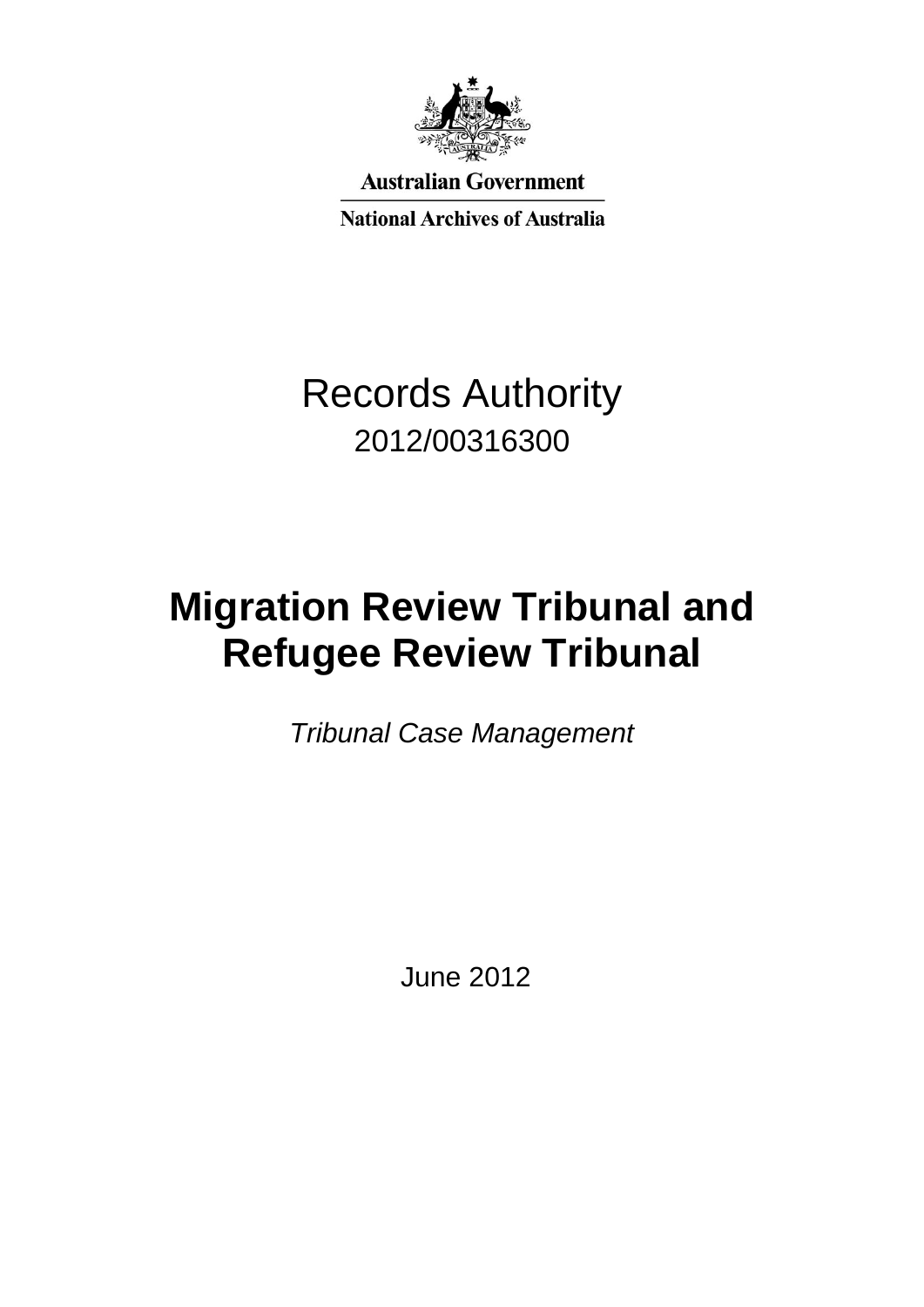

**Australian Government** 

**National Archives of Australia** 

## Records Authority 2012/00316300

# **Migration Review Tribunal and Refugee Review Tribunal**

*Tribunal Case Management*

June 2012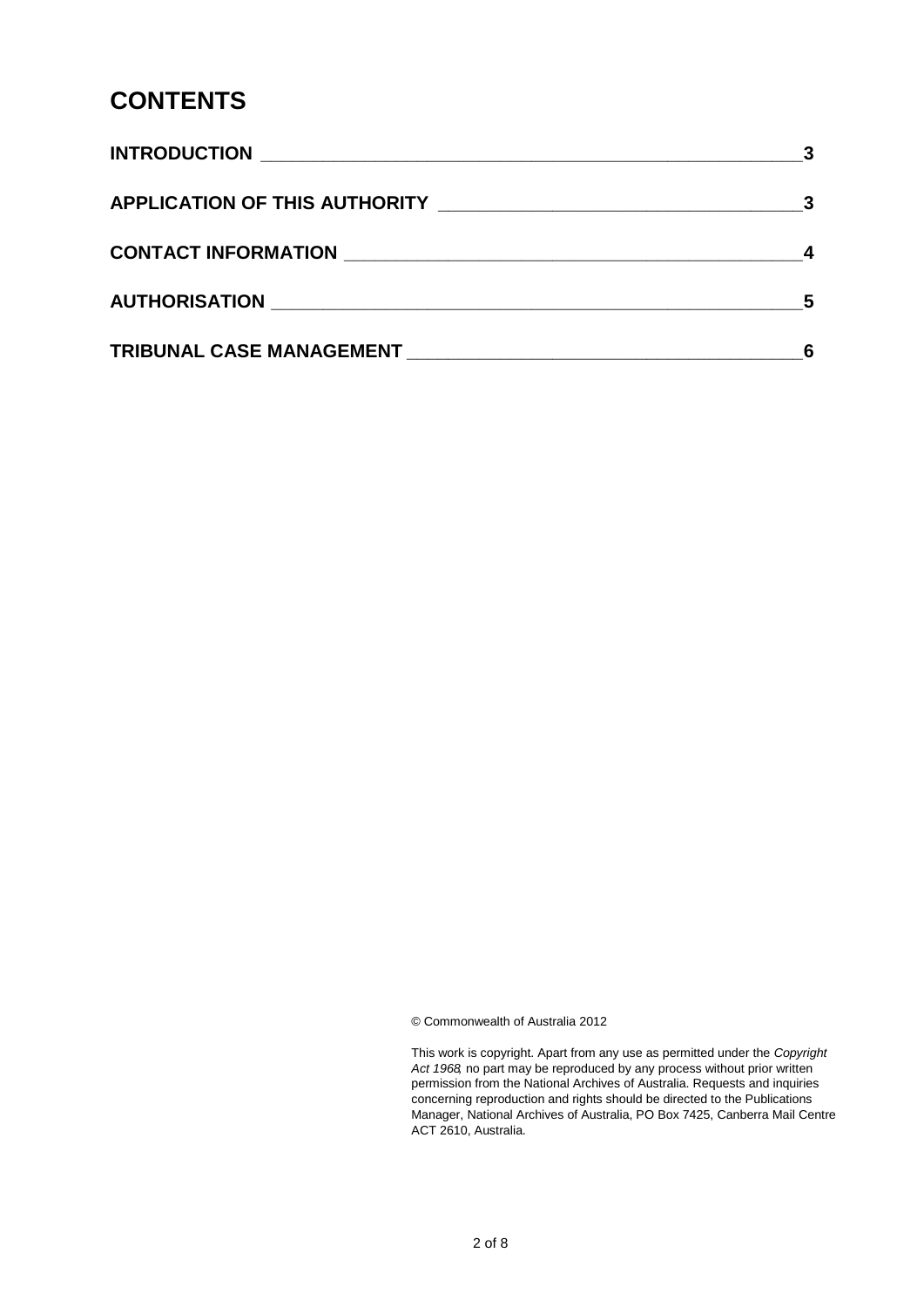#### **CONTENTS**

|                      | $\overline{\mathbf{3}}$ |
|----------------------|-------------------------|
|                      |                         |
| AUTHORISATION NATION | 5                       |
|                      |                         |

© Commonwealth of Australia 2012

This work is copyright. Apart from any use as permitted under the *Copyright Act 1968,* no part may be reproduced by any process without prior written permission from the National Archives of Australia. Requests and inquiries concerning reproduction and rights should be directed to the Publications Manager, National Archives of Australia, PO Box 7425, Canberra Mail Centre ACT 2610, Australia.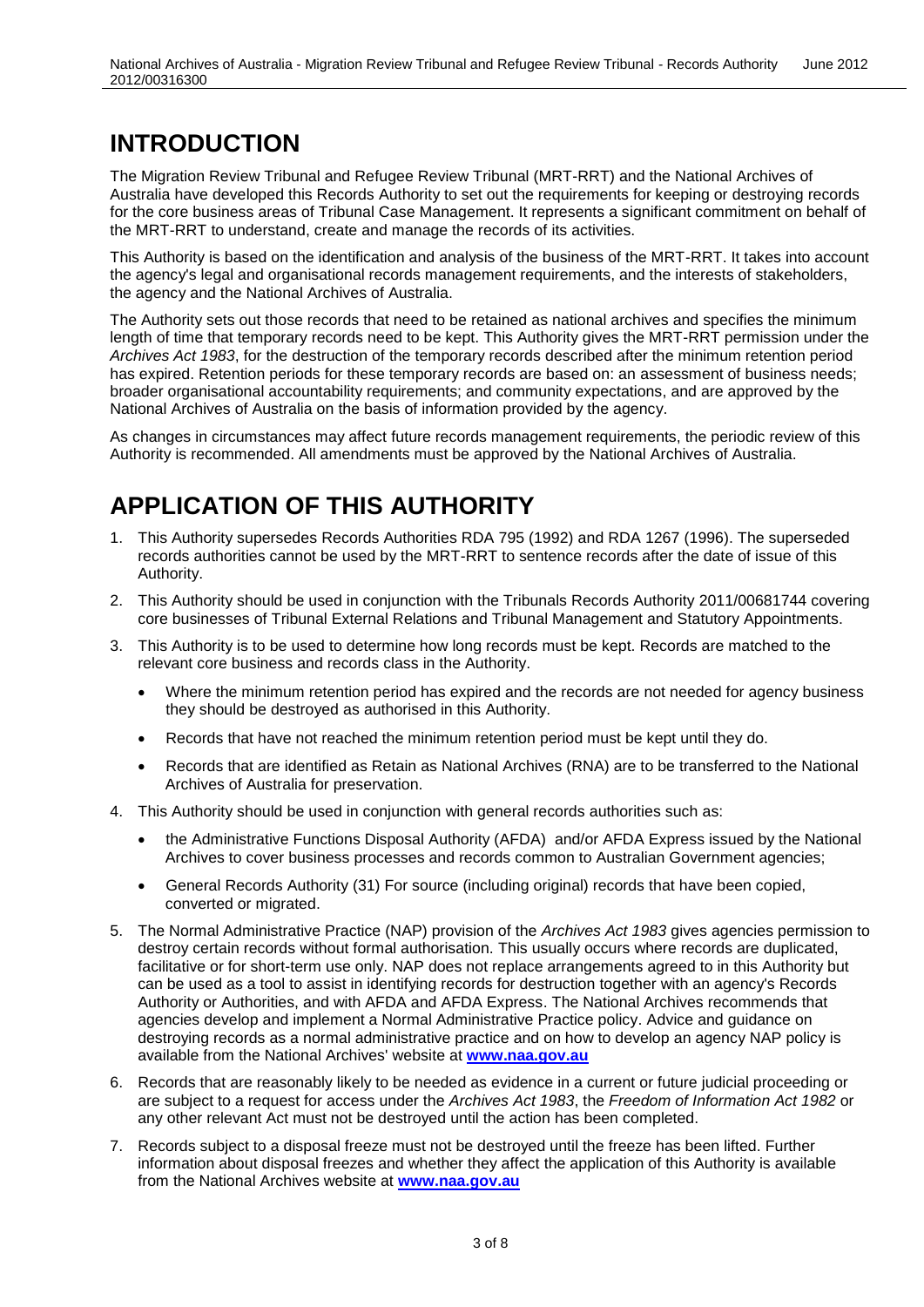### **INTRODUCTION**

The Migration Review Tribunal and Refugee Review Tribunal (MRT-RRT) and the National Archives of Australia have developed this Records Authority to set out the requirements for keeping or destroying records for the core business areas of Tribunal Case Management. It represents a significant commitment on behalf of the MRT-RRT to understand, create and manage the records of its activities.

This Authority is based on the identification and analysis of the business of the MRT-RRT. It takes into account the agency's legal and organisational records management requirements, and the interests of stakeholders, the agency and the National Archives of Australia.

The Authority sets out those records that need to be retained as national archives and specifies the minimum length of time that temporary records need to be kept. This Authority gives the MRT-RRT permission under the *Archives Act 1983*, for the destruction of the temporary records described after the minimum retention period has expired. Retention periods for these temporary records are based on: an assessment of business needs; broader organisational accountability requirements; and community expectations, and are approved by the National Archives of Australia on the basis of information provided by the agency.

As changes in circumstances may affect future records management requirements, the periodic review of this Authority is recommended. All amendments must be approved by the National Archives of Australia.

#### **APPLICATION OF THIS AUTHORITY**

- 1. This Authority supersedes Records Authorities RDA 795 (1992) and RDA 1267 (1996). The superseded records authorities cannot be used by the MRT-RRT to sentence records after the date of issue of this Authority.
- 2. This Authority should be used in conjunction with the Tribunals Records Authority 2011/00681744 covering core businesses of Tribunal External Relations and Tribunal Management and Statutory Appointments.
- 3. This Authority is to be used to determine how long records must be kept. Records are matched to the relevant core business and records class in the Authority.
	- Where the minimum retention period has expired and the records are not needed for agency business they should be destroyed as authorised in this Authority.
	- Records that have not reached the minimum retention period must be kept until they do.
	- Records that are identified as Retain as National Archives (RNA) are to be transferred to the National Archives of Australia for preservation.
- 4. This Authority should be used in conjunction with general records authorities such as:
	- the Administrative Functions Disposal Authority (AFDA) and/or AFDA Express issued by the National Archives to cover business processes and records common to Australian Government agencies;
	- General Records Authority (31) For source (including original) records that have been copied, converted or migrated.
- 5. The Normal Administrative Practice (NAP) provision of the *Archives Act 1983* gives agencies permission to destroy certain records without formal authorisation. This usually occurs where records are duplicated, facilitative or for short-term use only. NAP does not replace arrangements agreed to in this Authority but can be used as a tool to assist in identifying records for destruction together with an agency's Records Authority or Authorities, and with AFDA and AFDA Express. The National Archives recommends that agencies develop and implement a Normal Administrative Practice policy. Advice and guidance on destroying records as a normal administrative practice and on how to develop an agency NAP policy is available from the National Archives' website at **[www.naa.gov.au](http://www.naa.gov.au/)**
- 6. Records that are reasonably likely to be needed as evidence in a current or future judicial proceeding or are subject to a request for access under the *Archives Act 1983*, the *Freedom of Information Act 1982* or any other relevant Act must not be destroyed until the action has been completed.
- 7. Records subject to a disposal freeze must not be destroyed until the freeze has been lifted. Further information about disposal freezes and whether they affect the application of this Authority is available from the National Archives website at **[www.naa.gov.au](http://www.naa.gov.au/)**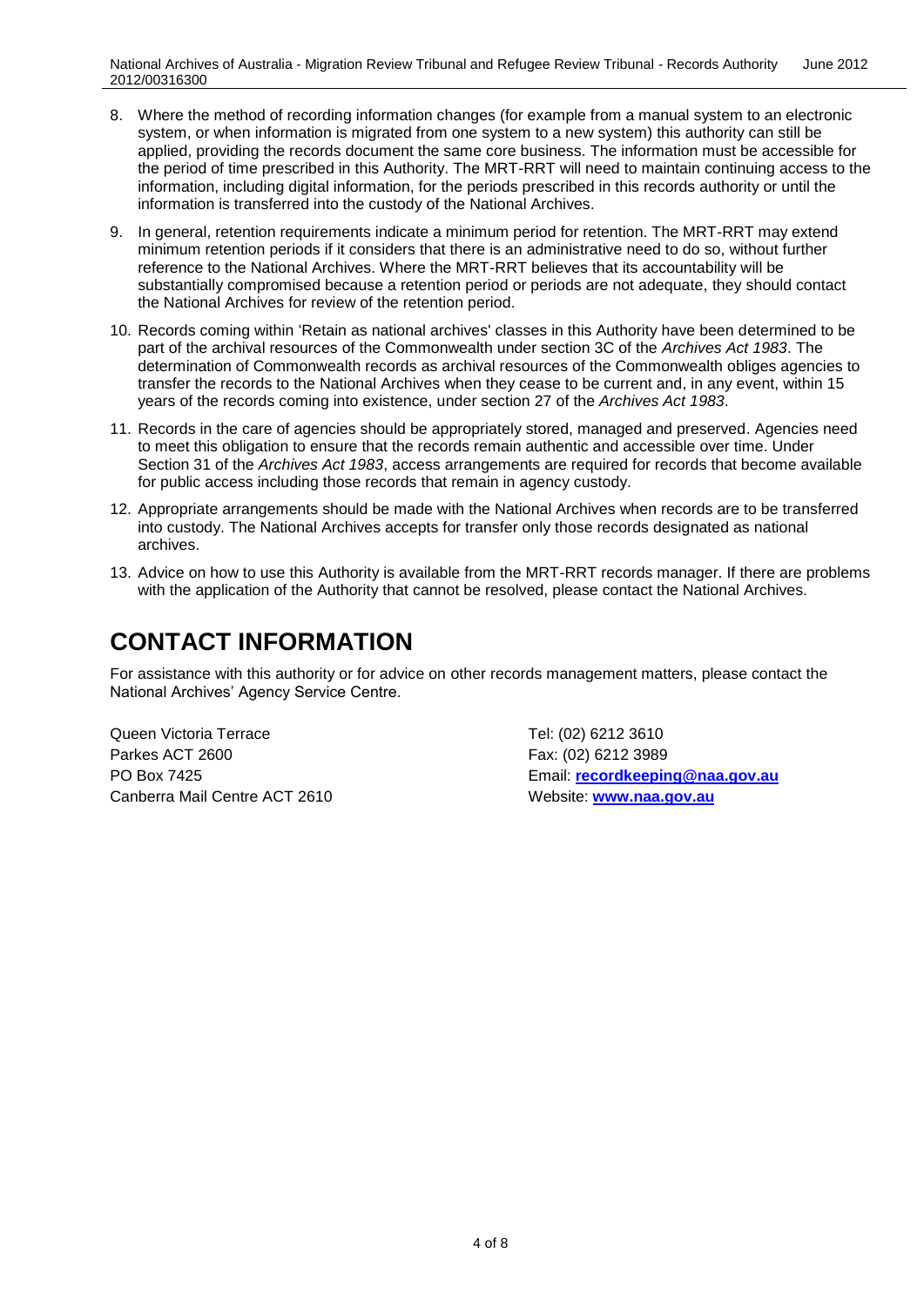- 8. Where the method of recording information changes (for example from a manual system to an electronic system, or when information is migrated from one system to a new system) this authority can still be applied, providing the records document the same core business. The information must be accessible for the period of time prescribed in this Authority. The MRT-RRT will need to maintain continuing access to the information, including digital information, for the periods prescribed in this records authority or until the information is transferred into the custody of the National Archives.
- 9. In general, retention requirements indicate a minimum period for retention. The MRT-RRT may extend minimum retention periods if it considers that there is an administrative need to do so, without further reference to the National Archives. Where the MRT-RRT believes that its accountability will be substantially compromised because a retention period or periods are not adequate, they should contact the National Archives for review of the retention period.
- 10. Records coming within 'Retain as national archives' classes in this Authority have been determined to be part of the archival resources of the Commonwealth under section 3C of the *Archives Act 1983*. The determination of Commonwealth records as archival resources of the Commonwealth obliges agencies to transfer the records to the National Archives when they cease to be current and, in any event, within 15 years of the records coming into existence, under section 27 of the *Archives Act 1983*.
- 11. Records in the care of agencies should be appropriately stored, managed and preserved. Agencies need to meet this obligation to ensure that the records remain authentic and accessible over time. Under Section 31 of the *Archives Act 1983*, access arrangements are required for records that become available for public access including those records that remain in agency custody.
- 12. Appropriate arrangements should be made with the National Archives when records are to be transferred into custody. The National Archives accepts for transfer only those records designated as national archives.
- 13. Advice on how to use this Authority is available from the MRT-RRT records manager. If there are problems with the application of the Authority that cannot be resolved, please contact the National Archives.

#### **CONTACT INFORMATION**

For assistance with this authority or for advice on other records management matters, please contact the National Archives' Agency Service Centre.

Queen Victoria Terrace Tel: (02) 6212 3610 Parkes ACT 2600 Farkes ACT 2600 Canberra Mail Centre ACT 2610 Website: **[www.naa.gov.au](http://www.naa.gov.au/)**

PO Box 7425 Email: **[recordkeeping@naa.gov.au](mailto:recordkeeping@naa.gov.au)**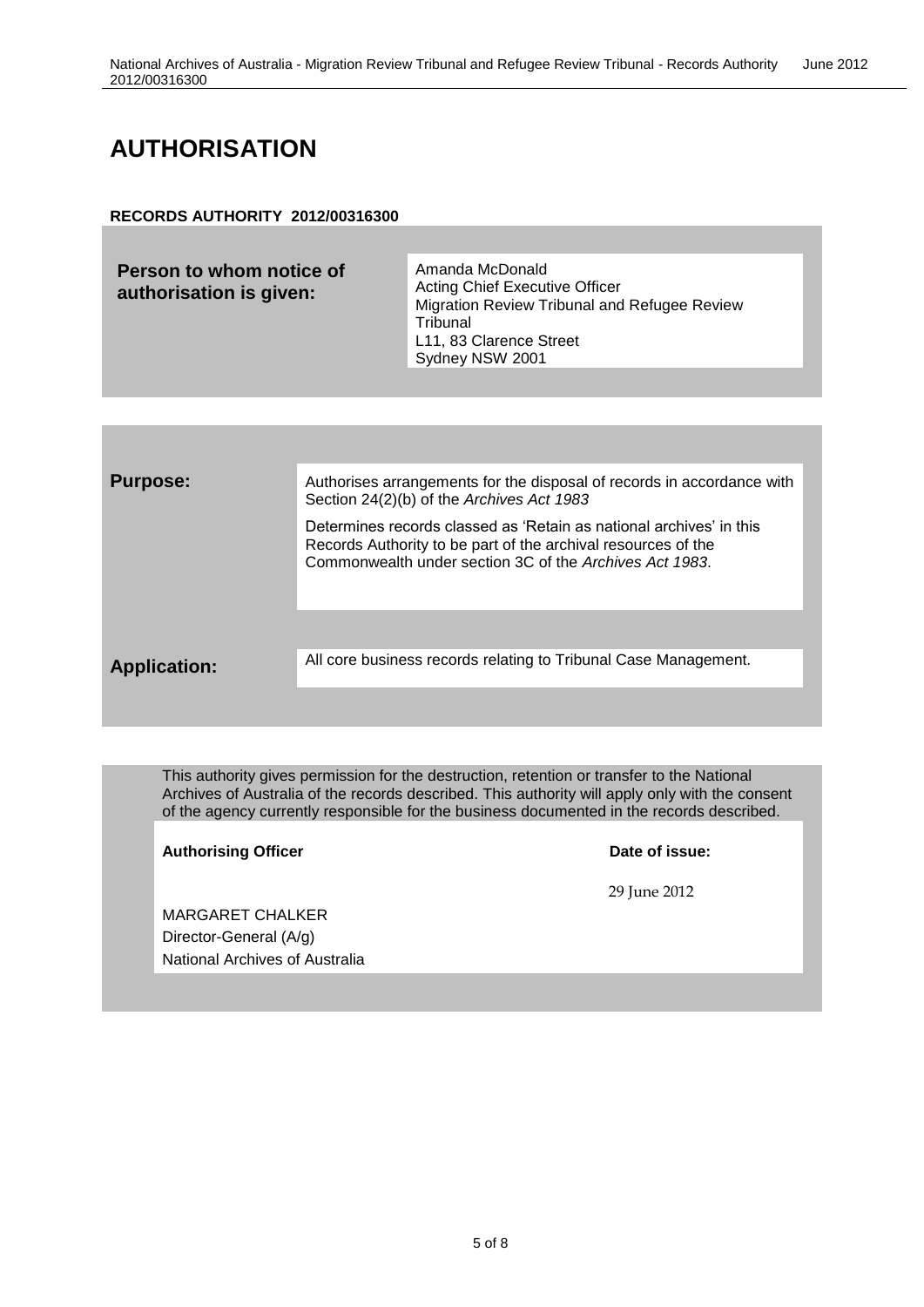### **AUTHORISATION**

#### **RECORDS AUTHORITY 2012/00316300**

| Person to whom notice of<br>authorisation is given: | Amanda McDonald<br><b>Acting Chief Executive Officer</b><br>Migration Review Tribunal and Refugee Review<br>Tribunal<br>L11, 83 Clarence Street<br>Sydney NSW 2001 |
|-----------------------------------------------------|--------------------------------------------------------------------------------------------------------------------------------------------------------------------|
|-----------------------------------------------------|--------------------------------------------------------------------------------------------------------------------------------------------------------------------|

| <b>Purpose:</b>     | Authorises arrangements for the disposal of records in accordance with<br>Section 24(2)(b) of the Archives Act 1983                                                                             |
|---------------------|-------------------------------------------------------------------------------------------------------------------------------------------------------------------------------------------------|
|                     | Determines records classed as 'Retain as national archives' in this<br>Records Authority to be part of the archival resources of the<br>Commonwealth under section 3C of the Archives Act 1983. |
|                     |                                                                                                                                                                                                 |
| <b>Application:</b> | All core business records relating to Tribunal Case Management.                                                                                                                                 |
|                     |                                                                                                                                                                                                 |

This authority gives permission for the destruction, retention or transfer to the National Archives of Australia of the records described. This authority will apply only with the consent of the agency currently responsible for the business documented in the records described.

Authorising Officer **Contract Contract Contract Contract Contract Contract Contract Contract Contract Contract Contract Contract Contract Contract Contract Contract Contract Contract Contract Contract Contract Contract Con** 

29 June 2012

MARGARET CHALKER Director-General (A/g) National Archives of Australia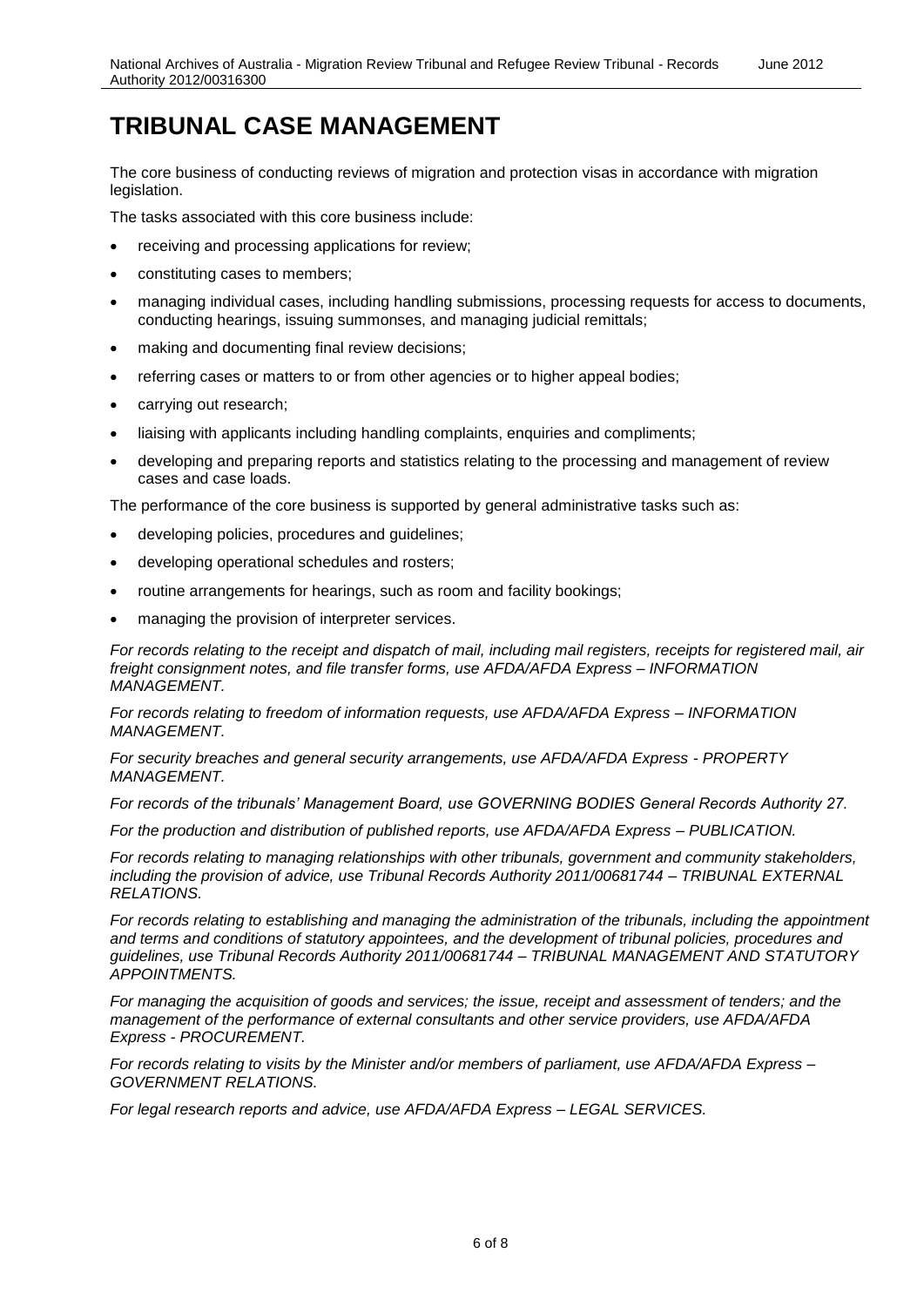#### **TRIBUNAL CASE MANAGEMENT**

The core business of conducting reviews of migration and protection visas in accordance with migration legislation.

The tasks associated with this core business include:

- receiving and processing applications for review;
- constituting cases to members;
- managing individual cases, including handling submissions, processing requests for access to documents, conducting hearings, issuing summonses, and managing judicial remittals;
- making and documenting final review decisions;
- referring cases or matters to or from other agencies or to higher appeal bodies;
- carrying out research;
- liaising with applicants including handling complaints, enquiries and compliments;
- developing and preparing reports and statistics relating to the processing and management of review cases and case loads.

The performance of the core business is supported by general administrative tasks such as:

- developing policies, procedures and guidelines;
- developing operational schedules and rosters;
- routine arrangements for hearings, such as room and facility bookings;
- managing the provision of interpreter services.

*For records relating to the receipt and dispatch of mail, including mail registers, receipts for registered mail, air freight consignment notes, and file transfer forms, use AFDA/AFDA Express – INFORMATION MANAGEMENT.*

*For records relating to freedom of information requests, use AFDA/AFDA Express – INFORMATION MANAGEMENT.*

*For security breaches and general security arrangements, use AFDA/AFDA Express - PROPERTY MANAGEMENT.* 

*For records of the tribunals' Management Board, use GOVERNING BODIES General Records Authority 27.*

*For the production and distribution of published reports, use AFDA/AFDA Express – PUBLICATION.* 

*For records relating to managing relationships with other tribunals, government and community stakeholders, including the provision of advice, use Tribunal Records Authority 2011/00681744 – TRIBUNAL EXTERNAL RELATIONS.*

For records relating to establishing and managing the administration of the tribunals, including the appointment *and terms and conditions of statutory appointees, and the development of tribunal policies, procedures and guidelines, use Tribunal Records Authority 2011/00681744 – TRIBUNAL MANAGEMENT AND STATUTORY APPOINTMENTS.*

*For managing the acquisition of goods and services; the issue, receipt and assessment of tenders; and the management of the performance of external consultants and other service providers, use AFDA/AFDA Express - PROCUREMENT.*

*For records relating to visits by the Minister and/or members of parliament, use AFDA/AFDA Express – GOVERNMENT RELATIONS.*

*For legal research reports and advice, use AFDA/AFDA Express – LEGAL SERVICES.*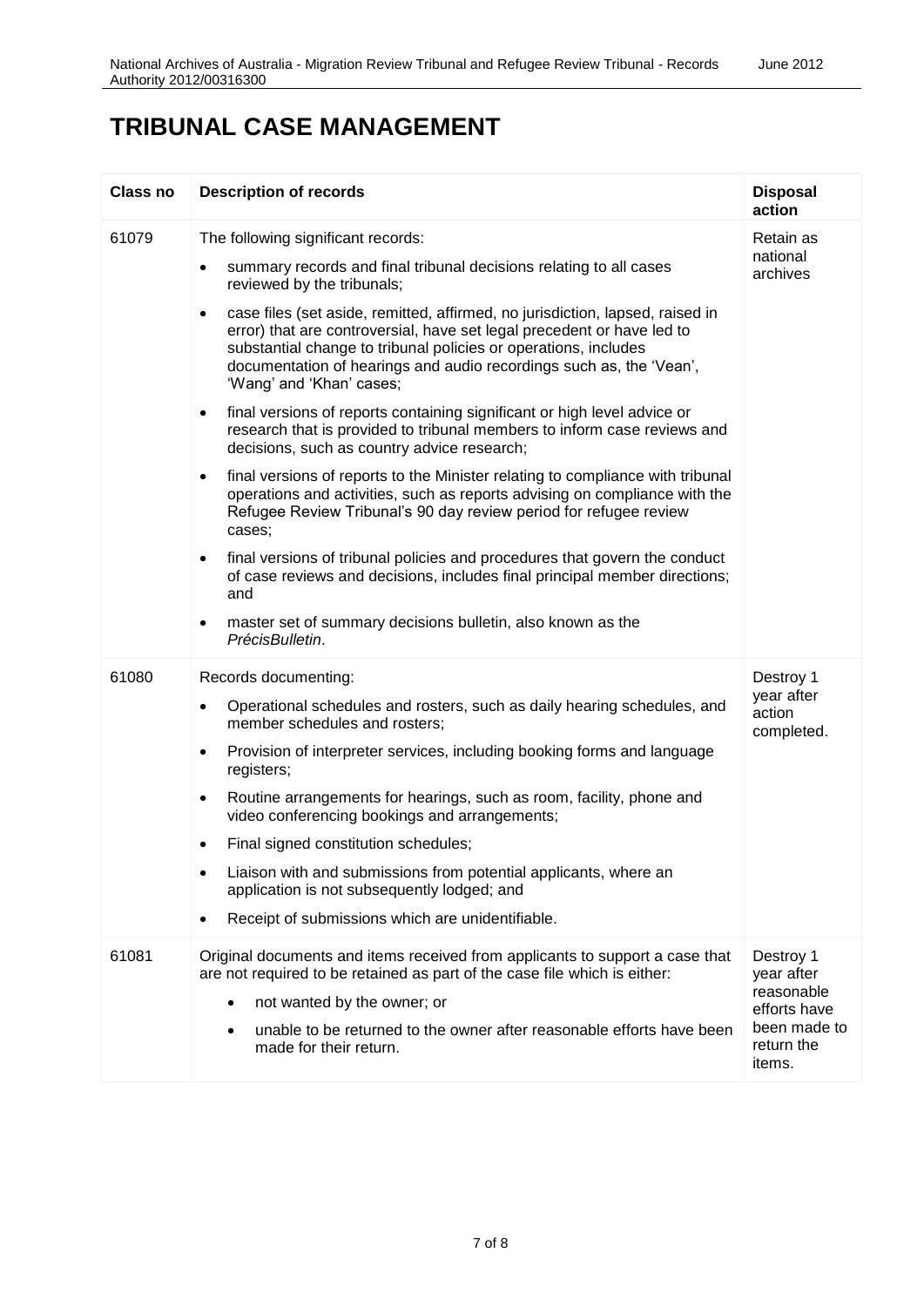#### **TRIBUNAL CASE MANAGEMENT**

| Class no | <b>Description of records</b>                                                                                                                                                                                                                                                                                                                                                                                                                                                                                                                                                                                                                                                                                                                                                                                                                                                                                                                                                                                                                                                                                                                                                                                                    | <b>Disposal</b><br>action                                                                     |
|----------|----------------------------------------------------------------------------------------------------------------------------------------------------------------------------------------------------------------------------------------------------------------------------------------------------------------------------------------------------------------------------------------------------------------------------------------------------------------------------------------------------------------------------------------------------------------------------------------------------------------------------------------------------------------------------------------------------------------------------------------------------------------------------------------------------------------------------------------------------------------------------------------------------------------------------------------------------------------------------------------------------------------------------------------------------------------------------------------------------------------------------------------------------------------------------------------------------------------------------------|-----------------------------------------------------------------------------------------------|
| 61079    | The following significant records:<br>summary records and final tribunal decisions relating to all cases<br>٠<br>reviewed by the tribunals;<br>case files (set aside, remitted, affirmed, no jurisdiction, lapsed, raised in<br>٠<br>error) that are controversial, have set legal precedent or have led to<br>substantial change to tribunal policies or operations, includes<br>documentation of hearings and audio recordings such as, the 'Vean',<br>'Wang' and 'Khan' cases;<br>final versions of reports containing significant or high level advice or<br>٠<br>research that is provided to tribunal members to inform case reviews and<br>decisions, such as country advice research;<br>final versions of reports to the Minister relating to compliance with tribunal<br>$\bullet$<br>operations and activities, such as reports advising on compliance with the<br>Refugee Review Tribunal's 90 day review period for refugee review<br>cases;<br>final versions of tribunal policies and procedures that govern the conduct<br>$\bullet$<br>of case reviews and decisions, includes final principal member directions;<br>and<br>master set of summary decisions bulletin, also known as the<br>٠<br>PrécisBulletin. | Retain as<br>national<br>archives                                                             |
| 61080    | Records documenting:<br>Operational schedules and rosters, such as daily hearing schedules, and<br>$\bullet$<br>member schedules and rosters;<br>Provision of interpreter services, including booking forms and language<br>$\bullet$<br>registers;<br>Routine arrangements for hearings, such as room, facility, phone and<br>$\bullet$<br>video conferencing bookings and arrangements;<br>Final signed constitution schedules;<br>٠<br>Liaison with and submissions from potential applicants, where an<br>٠<br>application is not subsequently lodged; and<br>Receipt of submissions which are unidentifiable.                                                                                                                                                                                                                                                                                                                                                                                                                                                                                                                                                                                                               | Destroy 1<br>year after<br>action<br>completed.                                               |
| 61081    | Original documents and items received from applicants to support a case that<br>are not required to be retained as part of the case file which is either:<br>not wanted by the owner; or<br>$\bullet$<br>unable to be returned to the owner after reasonable efforts have been<br>made for their return.                                                                                                                                                                                                                                                                                                                                                                                                                                                                                                                                                                                                                                                                                                                                                                                                                                                                                                                         | Destroy 1<br>year after<br>reasonable<br>efforts have<br>been made to<br>return the<br>items. |